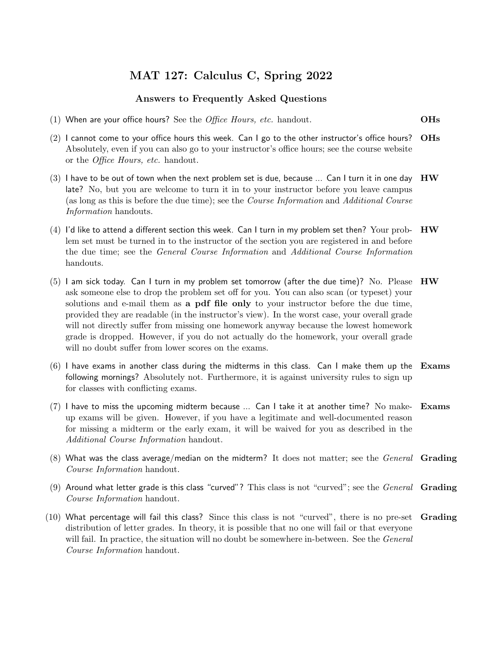## MAT 127: Calculus C, Spring 2022

## Answers to Frequently Asked Questions

- (1) When are your office hours? See the *Office Hours, etc.* handout.  $O$ **Hs**
- $(2)$  I cannot come to your office hours this week. Can I go to the other instructor's office hours? OHs Absolutely, even if you can also go to your instructor's office hours; see the course website or the Office Hours, etc. handout.
- $(3)$  I have to be out of town when the next problem set is due, because ... Can I turn it in one day  $\rm\;HW$ late? No, but you are welcome to turn it in to your instructor before you leave campus (as long as this is before the due time); see the Course Information and Additional Course Information handouts.
- $(4)$  I'd like to attend a different section this week. Can I turn in my problem set then? Your prob-  $\rm\,HW$ lem set must be turned in to the instructor of the section you are registered in and before the due time; see the General Course Information and Additional Course Information handouts.
- (5) I am sick today. Can I turn in my problem set tomorrow (after the due time)? No. Please  $H\mathbf{W}$ ask someone else to drop the problem set off for you. You can also scan (or typeset) your solutions and e-mail them as a pdf file only to your instructor before the due time, provided they are readable (in the instructor's view). In the worst case, your overall grade will not directly suffer from missing one homework anyway because the lowest homework grade is dropped. However, if you do not actually do the homework, your overall grade will no doubt suffer from lower scores on the exams.
- $(6)$  I have exams in another class during the midterms in this class. Can I make them up the Exams following mornings? Absolutely not. Furthermore, it is against university rules to sign up for classes with conflicting exams.
- $(7)$  I have to miss the upcoming midterm because ... Can I take it at another time? No make- Exams up exams will be given. However, if you have a legitimate and well-documented reason for missing a midterm or the early exam, it will be waived for you as described in the Additional Course Information handout.
- $(8)$  What was the class average/median on the midterm? It does not matter; see the *General* Grading Course Information handout.
- (9) Around what letter grade is this class "curved"? This class is not "curved"; see the *General* **Grading** Course Information handout.
- (10) What percentage will fail this class? Since this class is not "curved", there is no pre-set Grading distribution of letter grades. In theory, it is possible that no one will fail or that everyone will fail. In practice, the situation will no doubt be somewhere in-between. See the *General* Course Information handout.